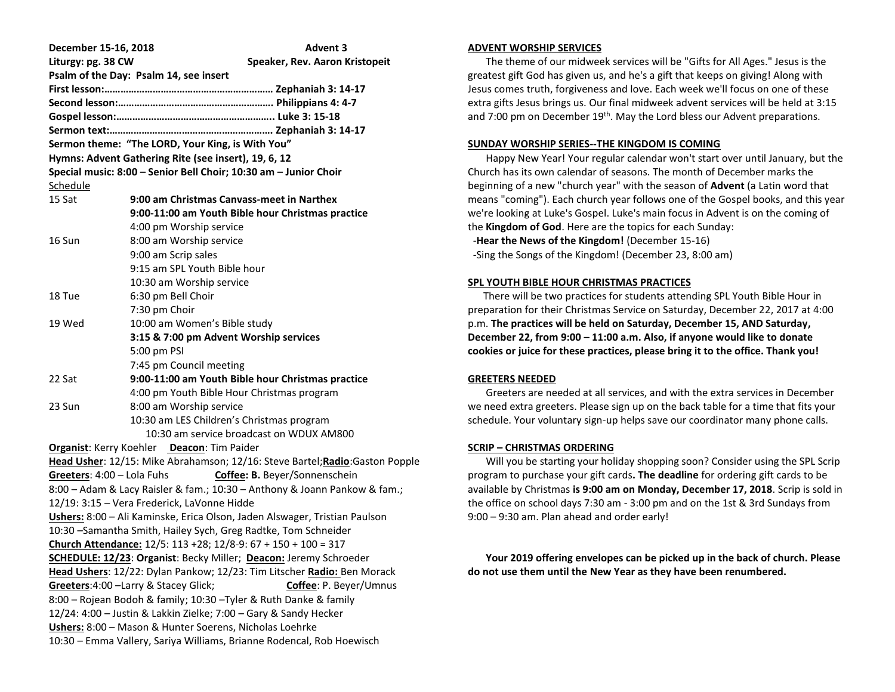| December 15-16, 2018                                                                                                                  | <b>Advent 3</b>                                                               |  |
|---------------------------------------------------------------------------------------------------------------------------------------|-------------------------------------------------------------------------------|--|
| Liturgy: pg. 38 CW                                                                                                                    | Speaker, Rev. Aaron Kristopeit                                                |  |
|                                                                                                                                       | Psalm of the Day: Psalm 14, see insert                                        |  |
|                                                                                                                                       |                                                                               |  |
|                                                                                                                                       |                                                                               |  |
|                                                                                                                                       |                                                                               |  |
|                                                                                                                                       |                                                                               |  |
|                                                                                                                                       | Sermon theme: "The LORD, Your King, is With You"                              |  |
| Hymns: Advent Gathering Rite (see insert), 19, 6, 12                                                                                  |                                                                               |  |
|                                                                                                                                       | Special music: 8:00 - Senior Bell Choir; 10:30 am - Junior Choir              |  |
| <u>Schedule</u>                                                                                                                       |                                                                               |  |
| 15 Sat                                                                                                                                | 9:00 am Christmas Canvass-meet in Narthex                                     |  |
|                                                                                                                                       | 9:00-11:00 am Youth Bible hour Christmas practice                             |  |
|                                                                                                                                       | 4:00 pm Worship service                                                       |  |
| 16 Sun                                                                                                                                | 8:00 am Worship service                                                       |  |
|                                                                                                                                       | 9:00 am Scrip sales                                                           |  |
|                                                                                                                                       | 9:15 am SPL Youth Bible hour                                                  |  |
|                                                                                                                                       | 10:30 am Worship service                                                      |  |
| 18 Tue                                                                                                                                | 6:30 pm Bell Choir                                                            |  |
|                                                                                                                                       | 7:30 pm Choir                                                                 |  |
| 19 Wed                                                                                                                                | 10:00 am Women's Bible study                                                  |  |
|                                                                                                                                       | 3:15 & 7:00 pm Advent Worship services                                        |  |
|                                                                                                                                       | 5:00 pm PSI                                                                   |  |
|                                                                                                                                       | 7:45 pm Council meeting                                                       |  |
| 22 Sat                                                                                                                                | 9:00-11:00 am Youth Bible hour Christmas practice                             |  |
|                                                                                                                                       | 4:00 pm Youth Bible Hour Christmas program                                    |  |
| 23 Sun                                                                                                                                | 8:00 am Worship service                                                       |  |
|                                                                                                                                       | 10:30 am LES Children's Christmas program                                     |  |
|                                                                                                                                       | 10:30 am service broadcast on WDUX AM800                                      |  |
|                                                                                                                                       | Organist: Kerry Koehler Deacon: Tim Paider                                    |  |
|                                                                                                                                       | Head Usher: 12/15: Mike Abrahamson; 12/16: Steve Bartel; Radio: Gaston Popple |  |
| Greeters: 4:00 - Lola Fuhs                                                                                                            | Coffee: B. Beyer/Sonnenschein                                                 |  |
|                                                                                                                                       | 8:00 - Adam & Lacy Raisler & fam.; 10:30 - Anthony & Joann Pankow & fam.;     |  |
|                                                                                                                                       | 12/19: 3:15 - Vera Frederick, LaVonne Hidde                                   |  |
|                                                                                                                                       | Ushers: 8:00 - Ali Kaminske, Erica Olson, Jaden Alswager, Tristian Paulson    |  |
|                                                                                                                                       | 10:30 - Samantha Smith, Hailey Sych, Greg Radtke, Tom Schneider               |  |
|                                                                                                                                       | Church Attendance: $12/5$ : $113 + 28$ ; $12/8 - 9$ : $67 + 150 + 100 = 317$  |  |
|                                                                                                                                       | SCHEDULE: 12/23: Organist: Becky Miller; Deacon: Jeremy Schroeder             |  |
|                                                                                                                                       | Head Ushers: 12/22: Dylan Pankow; 12/23: Tim Litscher Radio: Ben Morack       |  |
|                                                                                                                                       | Greeters: 4:00 - Larry & Stacey Glick;<br>Coffee: P. Beyer/Umnus              |  |
| 8:00 - Rojean Bodoh & family; 10:30 - Tyler & Ruth Danke & family<br>12/24: 4:00 - Justin & Lakkin Zielke; 7:00 - Gary & Sandy Hecker |                                                                               |  |
|                                                                                                                                       |                                                                               |  |
|                                                                                                                                       | Ushers: 8:00 - Mason & Hunter Soerens, Nicholas Loehrke                       |  |
|                                                                                                                                       | 10:30 - Emma Vallery, Sariya Williams, Brianne Rodencal, Rob Hoewisch         |  |

## **ADVENT WORSHIP SERVICES**

 The theme of our midweek services will be "Gifts for All Ages." Jesus is the greatest gift God has given us, and he's a gift that keeps on giving! Along with Jesus comes truth, forgiveness and love. Each week we'll focus on one of these extra gifts Jesus brings us. Our final midweek advent services will be held at 3:15 and 7:00 pm on December 19<sup>th</sup>. May the Lord bless our Advent preparations.

# **SUNDAY WORSHIP SERIES--THE KINGDOM IS COMING**

 Happy New Year! Your regular calendar won't start over until January, but the Church has its own calendar of seasons. The month of December marks the beginning of a new "church year" with the season of **Advent** (a Latin word that means "coming"). Each church year follows one of the Gospel books, and this year we're looking at Luke's Gospel. Luke's main focus in Advent is on the coming of the **Kingdom of God**. Here are the topics for each Sunday:

-**Hear the News of the Kingdom!** (December 15-16)

-Sing the Songs of the Kingdom! (December 23, 8:00 am)

## **SPL YOUTH BIBLE HOUR CHRISTMAS PRACTICES**

 There will be two practices for students attending SPL Youth Bible Hour in preparation for their Christmas Service on Saturday, December 22, 2017 at 4:00 p.m. **The practices will be held on Saturday, December 15, AND Saturday, December 22, from 9:00 – 11:00 a.m. Also, if anyone would like to donate cookies or juice for these practices, please bring it to the office. Thank you!**

# **GREETERS NEEDED**

 Greeters are needed at all services, and with the extra services in December we need extra greeters. Please sign up on the back table for a time that fits your schedule. Your voluntary sign-up helps save our coordinator many phone calls.

# **SCRIP – CHRISTMAS ORDERING**

 Will you be starting your holiday shopping soon? Consider using the SPL Scrip program to purchase your gift cards**. The deadline** for ordering gift cards to be available by Christmas **is 9:00 am on Monday, December 17, 2018**. Scrip is sold in the office on school days 7:30 am - 3:00 pm and on the 1st & 3rd Sundays from 9:00 – 9:30 am. Plan ahead and order early!

 **Your 2019 offering envelopes can be picked up in the back of church. Please do not use them until the New Year as they have been renumbered.**